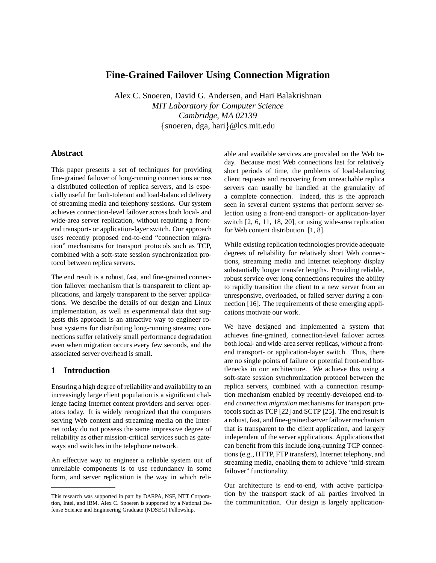# **Fine-Grained Failover Using Connection Migration**

Alex C. Snoeren, David G. Andersen, and Hari Balakrishnan *MIT Laboratory for Computer Science Cambridge, MA 02139* {snoeren, dga, hari}@lcs.mit.edu

# **Abstract**

This paper presents a set of techniques for providing fine-grained failover of long-running connections across a distributed collection of replica servers, and is especially useful for fault-tolerant and load-balanced delivery of streaming media and telephony sessions. Our system achieves connection-level failover across both local- and wide-area server replication, without requiring a frontend transport- or application-layer switch. Our approach uses recently proposed end-to-end "connection migration" mechanisms for transport protocols such as TCP, combined with a soft-state session synchronization protocol between replica servers.

The end result is a robust, fast, and fine-grained connection failover mechanism that is transparent to client applications, and largely transparent to the server applications. We describe the details of our design and Linux implementation, as well as experimental data that suggests this approach is an attractive way to engineer robust systems for distributing long-running streams; connections suffer relatively small performance degradation even when migration occurs every few seconds, and the associated server overhead is small.

# **1 Introduction**

Ensuring a high degree of reliability and availability to an increasingly large client population is a significant challenge facing Internet content providers and server operators today. It is widely recognized that the computers serving Web content and streaming media on the Internet today do not possess the same impressive degree of reliability as other mission-critical services such as gateways and switches in the telephone network.

An effective way to engineer a reliable system out of unreliable components is to use redundancy in some form, and server replication is the way in which reliable and available services are provided on the Web today. Because most Web connections last for relatively short periods of time, the problems of load-balancing client requests and recovering from unreachable replica servers can usually be handled at the granularity of a complete connection. Indeed, this is the approach seen in several current systems that perform server selection using a front-end transport- or application-layer switch [2, 6, 11, 18, 20], or using wide-area replication for Web content distribution [1, 8].

While existing replication technologies provide adequate degrees of reliability for relatively short Web connections, streaming media and Internet telephony display substantially longer transfer lengths. Providing reliable, robust service over long connections requires the ability to rapidly transition the client to a new server from an unresponsive, overloaded, or failed server *during* a connection [16]. The requirements of these emerging applications motivate our work.

We have designed and implemented a system that achieves fine-grained, connection-level failover across both local- and wide-area server replicas, *without* a frontend transport- or application-layer switch. Thus, there are no single points of failure or potential front-end bottlenecks in our architecture. We achieve this using a soft-state session synchronization protocol between the replica servers, combined with a connection resumption mechanism enabled by recently-developed end-toend *connection migration* mechanisms for transport protocols such as TCP [22] and SCTP [25]. The end result is a robust, fast, and fine-grained server failover mechanism that is transparent to the client application, and largely independent of the server applications. Applications that can benefit from this include long-running TCP connections (e.g., HTTP, FTP transfers), Internet telephony, and streaming media, enabling them to achieve "mid-stream failover" functionality.

Our architecture is end-to-end, with active participation by the transport stack of all parties involved in the communication. Our design is largely application-

This research was supported in part by DARPA, NSF, NTT Corporation, Intel, and IBM. Alex C. Snoeren is supported by a National Defense Science and Engineering Graduate (NDSEG) Fellowship.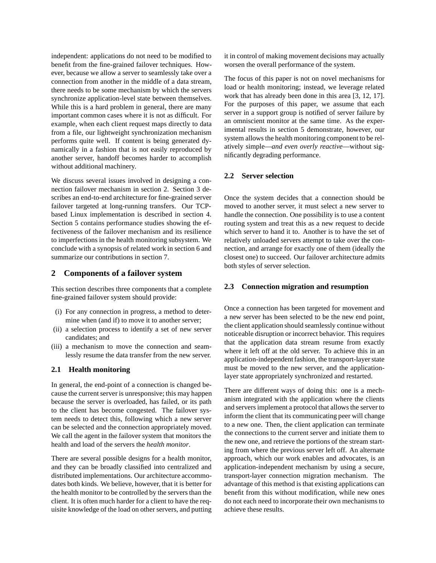independent: applications do not need to be modified to benefit from the fine-grained failover techniques. However, because we allow a server to seamlessly take over a connection from another in the middle of a data stream, there needs to be some mechanism by which the servers synchronize application-level state between themselves. While this is a hard problem in general, there are many important common cases where it is not as difficult. For example, when each client request maps directly to data from a file, our lightweight synchronization mechanism performs quite well. If content is being generated dynamically in a fashion that is not easily reproduced by another server, handoff becomes harder to accomplish without additional machinery.

We discuss several issues involved in designing a connection failover mechanism in section 2. Section 3 describes an end-to-end architecture for fine-grained server failover targeted at long-running transfers. Our TCPbased Linux implementation is described in section 4. Section 5 contains performance studies showing the effectiveness of the failover mechanism and its resilience to imperfections in the health monitoring subsystem. We conclude with a synopsis of related work in section 6 and summarize our contributions in section 7.

# **2 Components of a failover system**

This section describes three components that a complete fine-grained failover system should provide:

- (i) For any connection in progress, a method to determine when (and if) to move it to another server;
- (ii) a selection process to identify a set of new server candidates; and
- (iii) a mechanism to move the connection and seamlessly resume the data transfer from the new server.

### **2.1 Health monitoring**

In general, the end-point of a connection is changed because the current server is unresponsive; this may happen because the server is overloaded, has failed, or its path to the client has become congested. The failover system needs to detect this, following which a new server can be selected and the connection appropriately moved. We call the agent in the failover system that monitors the health and load of the servers the *health monitor*.

There are several possible designs for a health monitor, and they can be broadly classified into centralized and distributed implementations. Our architecture accommodates both kinds. We believe, however, that it is better for the health monitor to be controlled by the servers than the client. It is often much harder for a client to have the requisite knowledge of the load on other servers, and putting it in control of making movement decisions may actually worsen the overall performance of the system.

The focus of this paper is not on novel mechanisms for load or health monitoring; instead, we leverage related work that has already been done in this area [3, 12, 17]. For the purposes of this paper, we assume that each server in a support group is notified of server failure by an omniscient monitor at the same time. As the experimental results in section 5 demonstrate, however, our system allows the health monitoring component to be relatively simple—*and even overly reactive*—without significantly degrading performance.

## **2.2 Server selection**

Once the system decides that a connection should be moved to another server, it must select a new server to handle the connection. One possibility is to use a content routing system and treat this as a new request to decide which server to hand it to. Another is to have the set of relatively unloaded servers attempt to take over the connection, and arrange for exactly one of them (ideally the closest one) to succeed. Our failover architecture admits both styles of server selection.

# **2.3 Connection migration and resumption**

Once a connection has been targeted for movement and a new server has been selected to be the new end point, the client application should seamlessly continue without noticeable disruption or incorrect behavior. This requires that the application data stream resume from exactly where it left off at the old server. To achieve this in an application-independent fashion, the transport-layer state must be moved to the new server, and the applicationlayer state appropriately synchronized and restarted.

There are different ways of doing this: one is a mechanism integrated with the application where the clients and servers implement a protocol that allows the server to inform the client that its communicating peer will change to a new one. Then, the client application can terminate the connections to the current server and initiate them to the new one, and retrieve the portions of the stream starting from where the previous server left off. An alternate approach, which our work enables and advocates, is an application-independent mechanism by using a secure, transport-layer connection migration mechanism. The advantage of this method is that existing applications can benefit from this without modification, while new ones do not each need to incorporate their own mechanisms to achieve these results.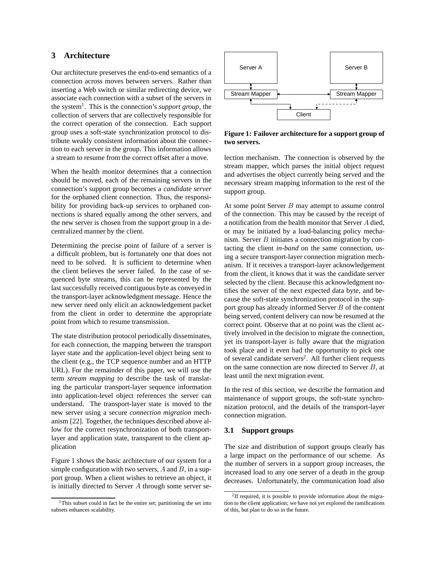# **3 Architecture**

Our architecture preserves the end-to-end semantics of a connection across moves between servers. Rather than inserting a Web switch or similar redirecting device, we associate each connection with a subset of the servers in the system1. This is the connection's *support group*, the collection of servers that are collectively responsible for the correct operation of the connection. Each support group uses a soft-state synchronization protocol to distribute weakly consistent information about the connection to each server in the group. This information allows a stream to resume from the correct offset after a move.

When the health monitor determines that a connection should be moved, each of the remaining servers in the connection's support group becomes a *candidate server* for the orphaned client connection. Thus, the responsibility for providing back-up services to orphaned connections is shared equally among the other servers, and the new server is chosen from the support group in a decentralized manner by the client.

Determining the precise point of failure of a server is a difficult problem, but is fortunately one that does not need to be solved. It is sufficient to determine when the client believes the server failed. In the case of sequenced byte streams, this can be represented by the last successfully received contiguous byte as conveyed in the transport-layer acknowledgment message. Hence the new server need only elicit an acknowledgement packet from the client in order to determine the appropriate point from which to resume transmission.

The state distribution protocol periodically disseminates, for each connection, the mapping between the transport layer state and the application-level object being sent to the client (e.g., the TCP sequence number and an HTTP URL). For the remainder of this paper, we will use the term *stream mapping* to describe the task of translating the particular transport-layer sequence information into application-level object references the server can understand. The transport-layer state is moved to the new server using a secure *connection migration* mechanism [22]. Together, the techniques described above allow for the correct resynchronization of both transportlayer and application state, transparent to the client application

Figure 1 shows the basic architecture of our system for a simple configuration with two servers,  $A$  and  $B$ , in a support group. When a client wishes to retrieve an object, it is initially directed to Server A through some server se-



**Figure 1: Failover architecture for a support group of two servers.**

lection mechanism. The connection is observed by the stream mapper, which parses the initial object request and advertises the object currently being served and the necessary stream mapping information to the rest of the support group.

At some point Server  $B$  may attempt to assume control of the connection. This may be caused by the receipt of a notification from the health monitor that Server A died, or may be initiated by a load-balancing policy mechanism. Server B initiates a connection migration by contacting the client *in-band* on the same connection, using a secure transport-layer connection migration mechanism. If it receives a transport-layer acknowledgement from the client, it knows that it was the candidate server selected by the client. Because this acknowledgment notifies the server of the next expected data byte, and because the soft-state synchronization protocol in the support group has already informed Server  $B$  of the content being served, content delivery can now be resumed at the correct point. Observe that at no point was the client actively involved in the decision to migrate the connection, yet its transport-layer is fully aware that the migration took place and it even had the opportunity to pick one of several candidate servers<sup>2</sup>. All further client requests on the same connection are now directed to Server  $B$ , at least until the next migration event.

In the rest of this section, we describe the formation and maintenance of support groups, the soft-state synchronization protocol, and the details of the transport-layer connection migration.

## **3.1 Support groups**

The size and distribution of support groups clearly has a large impact on the performance of our scheme. As the number of servers in a support group increases, the increased load to any one server of a death in the group decreases. Unfortunately, the communication load also

<sup>&</sup>lt;sup>1</sup>This subset could in fact be the entire set; partitioning the set into subsets enhances scalability.

<sup>&</sup>lt;sup>2</sup>If required, it is possible to provide information about the migration to the client application; we have not yet explored the ramifications of this, but plan to do so in the future.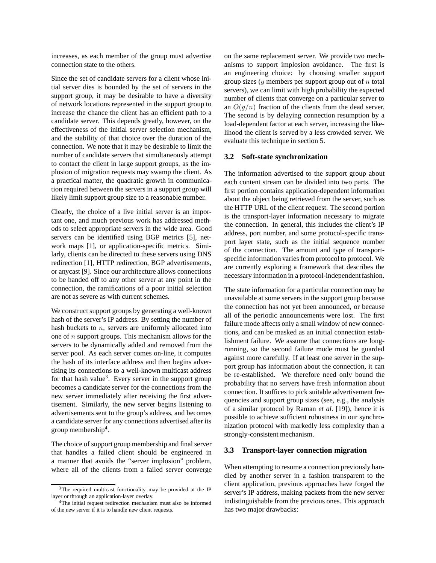increases, as each member of the group must advertise connection state to the others.

Since the set of candidate servers for a client whose initial server dies is bounded by the set of servers in the support group, it may be desirable to have a diversity of network locations represented in the support group to increase the chance the client has an efficient path to a candidate server. This depends greatly, however, on the effectiveness of the initial server selection mechanism, and the stability of that choice over the duration of the connection. We note that it may be desirable to limit the number of candidate servers that simultaneously attempt to contact the client in large support groups, as the implosion of migration requests may swamp the client. As a practical matter, the quadratic growth in communication required between the servers in a support group will likely limit support group size to a reasonable number.

Clearly, the choice of a live initial server is an important one, and much previous work has addressed methods to select appropriate servers in the wide area. Good servers can be identified using BGP metrics [5], network maps [1], or application-specific metrics. Similarly, clients can be directed to these servers using DNS redirection [1], HTTP redirection, BGP advertisements, or anycast [9]. Since our architecture allows connections to be handed off to any other server at any point in the connection, the ramifications of a poor initial selection are not as severe as with current schemes.

We construct support groups by generating a well-known hash of the server's IP address. By setting the number of hash buckets to  $n$ , servers are uniformly allocated into one of  $n$  support groups. This mechanism allows for the servers to be dynamically added and removed from the server pool. As each server comes on-line, it computes the hash of its interface address and then begins advertising its connections to a well-known multicast address for that hash value<sup>3</sup>. Every server in the support group becomes a candidate server for the connections from the new server immediately after receiving the first advertisement. Similarly, the new server begins listening to advertisements sent to the group's address, and becomes a candidate server for any connections advertised after its group membership<sup>4</sup>.

The choice of support group membership and final server that handles a failed client should be engineered in a manner that avoids the "server implosion" problem, where all of the clients from a failed server converge on the same replacement server. We provide two mechanisms to support implosion avoidance. The first is an engineering choice: by choosing smaller support group sizes ( $q$  members per support group out of  $n$  total servers), we can limit with high probability the expected number of clients that converge on a particular server to an  $O(q/n)$  fraction of the clients from the dead server. The second is by delaying connection resumption by a load-dependent factor at each server, increasing the likelihood the client is served by a less crowded server. We evaluate this technique in section 5.

### **3.2 Soft-state synchronization**

The information advertised to the support group about each content stream can be divided into two parts. The first portion contains application-dependent information about the object being retrieved from the server, such as the HTTP URL of the client request. The second portion is the transport-layer information necessary to migrate the connection. In general, this includes the client's IP address, port number, and some protocol-specific transport layer state, such as the initial sequence number of the connection. The amount and type of transportspecific information varies from protocol to protocol. We are currently exploring a framework that describes the necessary information in a protocol-independent fashion.

The state information for a particular connection may be unavailable at some servers in the support group because the connection has not yet been announced, or because all of the periodic announcements were lost. The first failure mode affects only a small window of new connections, and can be masked as an initial connection establishment failure. We assume that connections are longrunning, so the second failure mode must be guarded against more carefully. If at least one server in the support group has information about the connection, it can be re-established. We therefore need only bound the probability that no servers have fresh information about connection. It suffices to pick suitable advertisement frequencies and support group sizes (see, e.g., the analysis of a similar protocol by Raman *et al.* [19]), hence it is possible to achieve sufficient robustness in our synchronization protocol with markedly less complexity than a strongly-consistent mechanism.

### **3.3 Transport-layer connection migration**

When attempting to resume a connection previously handled by another server in a fashion transparent to the client application, previous approaches have forged the server's IP address, making packets from the new server indistinguishable from the previous ones. This approach has two major drawbacks:

<sup>&</sup>lt;sup>3</sup>The required multicast functionality may be provided at the IP layer or through an application-layer overlay.

<sup>4</sup>The initial request redirection mechanism must also be informed of the new server if it is to handle new client requests.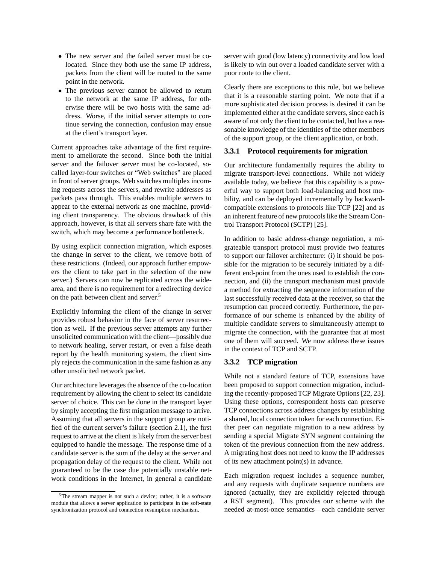- The new server and the failed server must be colocated. Since they both use the same IP address, packets from the client will be routed to the same point in the network.
- The previous server cannot be allowed to return to the network at the same IP address, for otherwise there will be two hosts with the same address. Worse, if the initial server attempts to continue serving the connection, confusion may ensue at the client's transport layer.

Current approaches take advantage of the first requirement to ameliorate the second. Since both the initial server and the failover server must be co-located, socalled layer-four switches or "Web switches" are placed in front of server groups. Web switches multiplex incoming requests across the servers, and rewrite addresses as packets pass through. This enables multiple servers to appear to the external network as one machine, providing client transparency. The obvious drawback of this approach, however, is that all servers share fate with the switch, which may become a performance bottleneck.

By using explicit connection migration, which exposes the change in server to the client, we remove both of these restrictions. (Indeed, our approach further empowers the client to take part in the selection of the new server.) Servers can now be replicated across the widearea, and there is no requirement for a redirecting device on the path between client and server.5

Explicitly informing the client of the change in server provides robust behavior in the face of server resurrection as well. If the previous server attempts any further unsolicited communication with the client—possibly due to network healing, server restart, or even a false death report by the health monitoring system, the client simply rejects the communication in the same fashion as any other unsolicited network packet.

Our architecture leverages the absence of the co-location requirement by allowing the client to select its candidate server of choice. This can be done in the transport layer by simply accepting the first migration message to arrive. Assuming that all servers in the support group are notified of the current server's failure (section 2.1), the first request to arrive at the client is likely from the server best equipped to handle the message. The response time of a candidate server is the sum of the delay at the server and propagation delay of the request to the client. While not guaranteed to be the case due potentially unstable network conditions in the Internet, in general a candidate server with good (low latency) connectivity and low load is likely to win out over a loaded candidate server with a poor route to the client.

Clearly there are exceptions to this rule, but we believe that it is a reasonable starting point. We note that if a more sophisticated decision process is desired it can be implemented either at the candidate servers, since each is aware of not only the client to be contacted, but has a reasonable knowledge of the identities of the other members of the support group, or the client application, or both.

## **3.3.1 Protocol requirements for migration**

Our architecture fundamentally requires the ability to migrate transport-level connections. While not widely available today, we believe that this capability is a powerful way to support both load-balancing and host mobility, and can be deployed incrementally by backwardcompatible extensions to protocols like TCP [22] and as an inherent feature of new protocols like the Stream Control Transport Protocol (SCTP) [25].

In addition to basic address-change negotiation, a migrateable transport protocol must provide two features to support our failover architecture: (i) it should be possible for the migration to be securely initiated by a different end-point from the ones used to establish the connection, and (ii) the transport mechanism must provide a method for extracting the sequence information of the last successfully received data at the receiver, so that the resumption can proceed correctly. Furthermore, the performance of our scheme is enhanced by the ability of multiple candidate servers to simultaneously attempt to migrate the connection, with the guarantee that at most one of them will succeed. We now address these issues in the context of TCP and SCTP.

### **3.3.2 TCP migration**

While not a standard feature of TCP, extensions have been proposed to support connection migration, including the recently-proposed TCP Migrate Options [22, 23]. Using these options, correspondent hosts can preserve TCP connections across address changes by establishing a shared, local connection token for each connection. Either peer can negotiate migration to a new address by sending a special Migrate SYN segment containing the token of the previous connection from the new address. A migrating host does not need to know the IP addresses of its new attachment point(s) in advance.

Each migration request includes a sequence number, and any requests with duplicate sequence numbers are ignored (actually, they are explicitly rejected through a RST segment). This provides our scheme with the needed at-most-once semantics—each candidate server

<sup>5</sup>The stream mapper is not such a device; rather, it is a software module that allows a server application to participate in the soft-state synchronization protocol and connection resumption mechanism.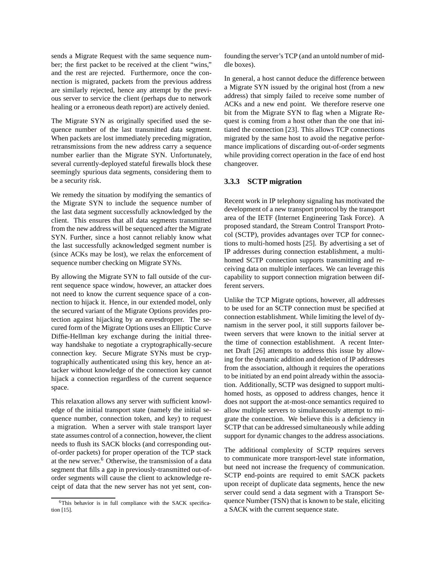sends a Migrate Request with the same sequence number; the first packet to be received at the client "wins," and the rest are rejected. Furthermore, once the connection is migrated, packets from the previous address are similarly rejected, hence any attempt by the previous server to service the client (perhaps due to network healing or a erroneous death report) are actively denied.

The Migrate SYN as originally specified used the sequence number of the last transmitted data segment. When packets are lost immediately preceding migration, retransmissions from the new address carry a sequence number earlier than the Migrate SYN. Unfortunately, several currently-deployed stateful firewalls block these seemingly spurious data segments, considering them to be a security risk.

We remedy the situation by modifying the semantics of the Migrate SYN to include the sequence number of the last data segment successfully acknowledged by the client. This ensures that all data segments transmitted from the new address will be sequenced after the Migrate SYN. Further, since a host cannot reliably know what the last successfully acknowledged segment number is (since ACKs may be lost), we relax the enforcement of sequence number checking on Migrate SYNs.

By allowing the Migrate SYN to fall outside of the current sequence space window, however, an attacker does not need to know the current sequence space of a connection to hijack it. Hence, in our extended model, only the secured variant of the Migrate Options provides protection against hijacking by an eavesdropper. The secured form of the Migrate Options uses an Elliptic Curve Diffie-Hellman key exchange during the initial threeway handshake to negotiate a cryptographically-secure connection key. Secure Migrate SYNs must be cryptographically authenticated using this key, hence an attacker without knowledge of the connection key cannot hijack a connection regardless of the current sequence space.

This relaxation allows any server with sufficient knowledge of the initial transport state (namely the initial sequence number, connection token, and key) to request a migration. When a server with stale transport layer state assumes control of a connection, however, the client needs to flush its SACK blocks (and corresponding outof-order packets) for proper operation of the TCP stack at the new server.6 Otherwise, the transmission of a data segment that fills a gap in previously-transmitted out-oforder segments will cause the client to acknowledge receipt of data that the new server has not yet sent, confounding the server's TCP (and an untold number of middle boxes).

In general, a host cannot deduce the difference between a Migrate SYN issued by the original host (from a new address) that simply failed to receive some number of ACKs and a new end point. We therefore reserve one bit from the Migrate SYN to flag when a Migrate Request is coming from a host other than the one that initiated the connection [23]. This allows TCP connections migrated by the same host to avoid the negative performance implications of discarding out-of-order segments while providing correct operation in the face of end host changeover.

### **3.3.3 SCTP migration**

Recent work in IP telephony signaling has motivated the development of a new transport protocol by the transport area of the IETF (Internet Engineering Task Force). A proposed standard, the Stream Control Transport Protocol (SCTP), provides advantages over TCP for connections to multi-homed hosts [25]. By advertising a set of IP addresses during connection establishment, a multihomed SCTP connection supports transmitting and receiving data on multiple interfaces. We can leverage this capability to support connection migration between different servers.

Unlike the TCP Migrate options, however, all addresses to be used for an SCTP connection must be specified at connection establishment. While limiting the level of dynamism in the server pool, it still supports failover between servers that were known to the initial server at the time of connection establishment. A recent Internet Draft [26] attempts to address this issue by allowing for the dynamic addition and deletion of IP addresses from the association, although it requires the operations to be initiated by an end point already within the association. Additionally, SCTP was designed to support multihomed hosts, as opposed to address changes, hence it does not support the at-most-once semantics required to allow multiple servers to simultaneously attempt to migrate the connection. We believe this is a deficiency in SCTP that can be addressed simultaneously while adding support for dynamic changes to the address associations.

The additional complexity of SCTP requires servers to communicate more transport-level state information, but need not increase the frequency of communication. SCTP end-points are required to emit SACK packets upon receipt of duplicate data segments, hence the new server could send a data segment with a Transport Sequence Number (TSN) that is known to be stale, eliciting a SACK with the current sequence state.

<sup>&</sup>lt;sup>6</sup>This behavior is in full compliance with the SACK specification [15].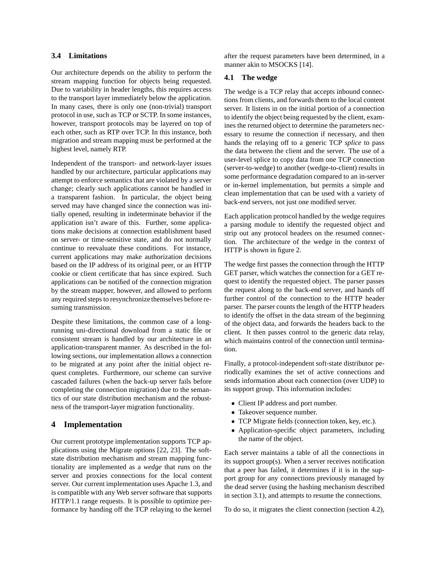# **3.4 Limitations**

Our architecture depends on the ability to perform the stream mapping function for objects being requested. Due to variability in header lengths, this requires access to the transport layer immediately below the application. In many cases, there is only one (non-trivial) transport protocol in use, such as TCP or SCTP. In some instances, however, transport protocols may be layered on top of each other, such as RTP over TCP. In this instance, both migration and stream mapping must be performed at the highest level, namely RTP.

Independent of the transport- and network-layer issues handled by our architecture, particular applications may attempt to enforce semantics that are violated by a server change; clearly such applications cannot be handled in a transparent fashion. In particular, the object being served may have changed since the connection was initially opened, resulting in indeterminate behavior if the application isn't aware of this. Further, some applications make decisions at connection establishment based on server- or time-sensitive state, and do not normally continue to reevaluate these conditions. For instance, current applications may make authorization decisions based on the IP address of its original peer, or an HTTP cookie or client certificate that has since expired. Such applications can be notified of the connection migration by the stream mapper, however, and allowed to perform any required steps to resynchronize themselves before resuming transmission.

Despite these limitations, the common case of a longrunning uni-directional download from a static file or consistent stream is handled by our architecture in an application-transparent manner. As described in the following sections, our implementation allows a connection to be migrated at any point after the initial object request completes. Furthermore, our scheme can survive cascaded failures (when the back-up server fails before completing the connection migration) due to the semantics of our state distribution mechanism and the robustness of the transport-layer migration functionality.

## **4 Implementation**

Our current prototype implementation supports TCP applications using the Migrate options [22, 23]. The softstate distribution mechanism and stream mapping functionality are implemented as a *wedge* that runs on the server and proxies connections for the local content server. Our current implementation uses Apache 1.3, and is compatible with any Web server software that supports HTTP/1.1 range requests. It is possible to optimize performance by handing off the TCP relaying to the kernel

after the request parameters have been determined, in a manner akin to MSOCKS [14].

## **4.1 The wedge**

The wedge is a TCP relay that accepts inbound connections from clients, and forwards them to the local content server. It listens in on the initial portion of a connection to identify the object being requested by the client, examines the returned object to determine the parameters necessary to resume the connection if necessary, and then hands the relaying off to a generic TCP *splice* to pass the data between the client and the server. The use of a user-level splice to copy data from one TCP connection (server-to-wedge) to another (wedge-to-client) results in some performance degradation compared to an in-server or in-kernel implementation, but permits a simple and clean implementation that can be used with a variety of back-end servers, not just one modified server.

Each application protocol handled by the wedge requires a parsing module to identify the requested object and strip out any protocol headers on the resumed connection. The architecture of the wedge in the context of HTTP is shown in figure 2.

The wedge first passes the connection through the HTTP GET parser, which watches the connection for a GET request to identify the requested object. The parser passes the request along to the back-end server, and hands off further control of the connection to the HTTP header parser. The parser counts the length of the HTTP headers to identify the offset in the data stream of the beginning of the object data, and forwards the headers back to the client. It then passes control to the generic data relay, which maintains control of the connection until termination.

Finally, a protocol-independent soft-state distributor periodically examines the set of active connections and sends information about each connection (over UDP) to its support group. This information includes:

- Client IP address and port number.
- Takeover sequence number.
- TCP Migrate fields (connection token, key, etc.).
- Application-specific object parameters, including the name of the object.

Each server maintains a table of all the connections in its support group(s). When a server receives notification that a peer has failed, it determines if it is in the support group for any connections previously managed by the dead server (using the hashing mechanism described in section 3.1), and attempts to resume the connections.

To do so, it migrates the client connection (section 4.2),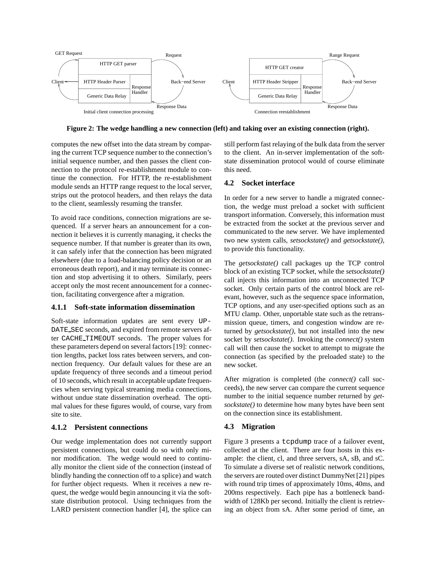

**Figure 2: The wedge handling a new connection (left) and taking over an existing connection (right).**

computes the new offset into the data stream by comparing the current TCP sequence number to the connection's initial sequence number, and then passes the client connection to the protocol re-establishment module to continue the connection. For HTTP, the re-establishment module sends an HTTP range request to the local server, strips out the protocol headers, and then relays the data to the client, seamlessly resuming the transfer.

To avoid race conditions, connection migrations are sequenced. If a server hears an announcement for a connection it believes it is currently managing, it checks the sequence number. If that number is greater than its own, it can safely infer that the connection has been migrated elsewhere (due to a load-balancing policy decision or an erroneous death report), and it may terminate its connection and stop advertising it to others. Similarly, peers accept only the most recent announcement for a connection, facilitating convergence after a migration.

# **4.1.1 Soft-state information dissemination**

Soft-state information updates are sent every UP-DATE SEC seconds, and expired from remote servers after CACHE TIMEOUT seconds. The proper values for these parameters depend on several factors [19]: connection lengths, packet loss rates between servers, and connection frequency. Our default values for these are an update frequency of three seconds and a timeout period of 10 seconds, which result in acceptable update frequencies when serving typical streaming media connections, without undue state dissemination overhead. The optimal values for these figures would, of course, vary from site to site.

# **4.1.2 Persistent connections**

Our wedge implementation does not currently support persistent connections, but could do so with only minor modification. The wedge would need to continually monitor the client side of the connection (instead of blindly handing the connection off to a splice) and watch for further object requests. When it receives a new request, the wedge would begin announcing it via the softstate distribution protocol. Using techniques from the LARD persistent connection handler [4], the splice can still perform fast relaying of the bulk data from the server to the client. An in-server implementation of the softstate dissemination protocol would of course eliminate this need.

# **4.2 Socket interface**

In order for a new server to handle a migrated connection, the wedge must preload a socket with sufficient transport information. Conversely, this information must be extracted from the socket at the previous server and communicated to the new server. We have implemented two new system calls, *setsockstate()* and *getsockstate()*, to provide this functionality.

The *getsockstate()* call packages up the TCP control block of an existing TCP socket, while the *setsockstate()* call injects this information into an unconnected TCP socket. Only certain parts of the control block are relevant, however, such as the sequence space information, TCP options, and any user-specified options such as an MTU clamp. Other, unportable state such as the retransmission queue, timers, and congestion window are returned by *getsockstate()*, but not installed into the new socket by *setsockstate()*. Invoking the *connect()* system call will then cause the socket to attempt to migrate the connection (as specified by the preloaded state) to the new socket.

After migration is completed (the *connect()* call succeeds), the new server can compare the current sequence number to the initial sequence number returned by *getsockstate()* to determine how many bytes have been sent on the connection since its establishment.

# **4.3 Migration**

Figure 3 presents a tcpdump trace of a failover event, collected at the client. There are four hosts in this example: the client, cl, and three servers, sA, sB, and sC. To simulate a diverse set of realistic network conditions, the servers are routed over distinct DummyNet [21] pipes with round trip times of approximately 10ms, 40ms, and 200ms respectively. Each pipe has a bottleneck bandwidth of 128Kb per second. Initially the client is retrieving an object from sA. After some period of time, an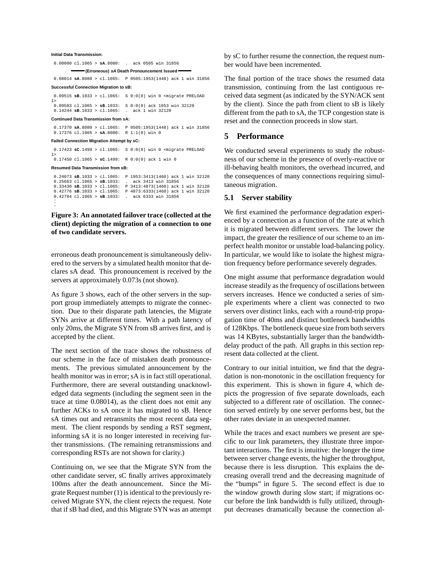#### **Initial Data Transmission:**

0.00000 cl.1065 > **sA**.8080: . ack 0505 win 31856

**(Erroneous) sA Death Pronouncement Issued**

0.08014 **sA**.8080 > cl.1065: P 0505:1953(1448) ack 1 win 31856 **Successful Connection Migration to sB:**

0.09515 **sB**.1033 > cl.1065: S 0:0(0) win 0 <migrate PRELOAD 1> 0.09583 cl.1065 > **sB**.1033: S 0:0(0) ack 1953 win 32120 0.14244 **sB**.1033 > cl.1065: . ack 1 win 32120

#### **Continued Data Transmission from sA:**

0.17370 **sA**.8080 > cl.1065: P 0505:1953(1448) ack 1 win 31856 0.17376 cl.1065 > **sA**.8080: R 1:1(0) win 0

#### **Failed Connection Migration Attempt by sC:**

0.17423 **sC**.1499 > cl.1065: S 0:0(0) win 0 <migrate PRELOAD 1>

0.17450 cl.1065 > **sC**.1499: R 0:0(0) ack 1 win 0

#### **Resumed Data Transmission from sB:**

.

0.24073 **sB**.1033 > cl.1065: P 1953:3413(1460) ack 1 win 32120 0.25663 cl.1065 > **sB**.1033: . ack 3413 win 31856 0.33430 **sB**.1033 > cl.1065: P 3413:4873(1460) ack 1 win 32120 0.42776 **sB**.1033 > cl.1065: P 4873:6333(1460) ack 1 win 32120  $0.42784 \text{ cl.} 1065 > \textbf{SB}. 1033: \quad \text{ack 6333 win 31856}$ .

## **Figure 3: An annotated failover trace (collected at the client) depicting the migration of a connection to one of two candidate servers.**

erroneous death pronouncement is simultaneously delivered to the servers by a simulated health monitor that declares sA dead. This pronouncement is received by the servers at approximately 0.073s (not shown).

As figure 3 shows, each of the other servers in the support group immediately attempts to migrate the connection. Due to their disparate path latencies, the Migrate SYNs arrive at different times. With a path latency of only 20ms, the Migrate SYN from sB arrives first, and is accepted by the client.

The next section of the trace shows the robustness of our scheme in the face of mistaken death pronouncements. The previous simulated announcement by the health monitor was in error; sA is in fact still operational. Furthermore, there are several outstanding unacknowledged data segments (including the segment seen in the trace at time 0.08014), as the client does not emit any further ACKs to sA once it has migrated to sB. Hence sA times out and retransmits the most recent data segment. The client responds by sending a RST segment, informing sA it is no longer interested in receiving further transmissions. (The remaining retransmissions and corresponding RSTs are not shown for clarity.)

Continuing on, we see that the Migrate SYN from the other candidate server, sC finally arrives approximately 100ms after the death announcement. Since the Migrate Request number (1) is identical to the previously received Migrate SYN, the client rejects the request. Note that if sB had died, and this Migrate SYN was an attempt by sC to further resume the connection, the request number would have been incremented.

The final portion of the trace shows the resumed data transmission, continuing from the last contiguous received data segment (as indicated by the SYN/ACK sent by the client). Since the path from client to sB is likely different from the path to sA, the TCP congestion state is reset and the connection proceeds in slow start.

## **5 Performance**

We conducted several experiments to study the robustness of our scheme in the presence of overly-reactive or ill-behaving health monitors, the overhead incurred, and the consequences of many connections requiring simultaneous migration.

#### **5.1 Server stability**

We first examined the performance degradation experienced by a connection as a function of the rate at which it is migrated between different servers. The lower the impact, the greater the resilience of our scheme to an imperfect health monitor or unstable load-balancing policy. In particular, we would like to isolate the highest migration frequency before performance severely degrades.

One might assume that performance degradation would increase steadily as the frequency of oscillations between servers increases. Hence we conducted a series of simple experiments where a client was connected to two servers over distinct links, each with a round-trip propagation time of 40ms and distinct bottleneck bandwidths of 128Kbps. The bottleneck queue size from both servers was 14 KBytes, substantially larger than the bandwidthdelay product of the path. All graphs in this section represent data collected at the client.

Contrary to our initial intuition, we find that the degradation is non-monotonic in the oscillation frequency for this experiment. This is shown in figure 4, which depicts the progression of five separate downloads, each subjected to a different rate of oscillation. The connection served entirely by one server performs best, but the other rates deviate in an unexpected manner.

While the traces and exact numbers we present are specific to our link parameters, they illustrate three important interactions. The first is intuitive: the longer the time between server change events, the higher the throughput, because there is less disruption. This explains the decreasing overall trend and the decreasing magnitude of the "bumps" in figure 5. The second effect is due to the window growth during slow start; if migrations occur before the link bandwidth is fully utilized, throughput decreases dramatically because the connection al-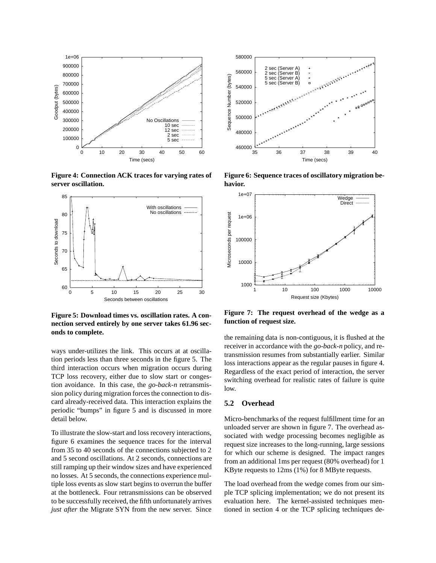

**Figure 4: Connection ACK traces for varying rates of server oscillation.**



**Figure 5: Download times vs. oscillation rates. A connection served entirely by one server takes 61.96 seconds to complete.**

ways under-utilizes the link. This occurs at at oscillation periods less than three seconds in the figure 5. The third interaction occurs when migration occurs during TCP loss recovery, either due to slow start or congestion avoidance. In this case, the *go-back-n* retransmission policy during migration forces the connection to discard already-received data. This interaction explains the periodic "bumps" in figure 5 and is discussed in more detail below.

To illustrate the slow-start and loss recovery interactions, figure 6 examines the sequence traces for the interval from 35 to 40 seconds of the connections subjected to 2 and 5 second oscillations. At 2 seconds, connections are still ramping up their window sizes and have experienced no losses. At 5 seconds, the connections experience multiple loss events as slow start begins to overrun the buffer at the bottleneck. Four retransmissions can be observed to be successfully received, the fifth unfortunately arrives *just after* the Migrate SYN from the new server. Since



**Figure 6: Sequence traces of oscillatory migration behavior.**



**Figure 7: The request overhead of the wedge as a function of request size.**

the remaining data is non-contiguous, it is flushed at the receiver in accordance with the *go-back-n* policy, and retransmission resumes from substantially earlier. Similar loss interactions appear as the regular pauses in figure 4. Regardless of the exact period of interaction, the server switching overhead for realistic rates of failure is quite low.

## **5.2 Overhead**

Micro-benchmarks of the request fulfillment time for an unloaded server are shown in figure 7. The overhead associated with wedge processing becomes negligible as request size increases to the long-running, large sessions for which our scheme is designed. The impact ranges from an additional 1ms per request (80% overhead) for 1 KByte requests to 12ms (1%) for 8 MByte requests.

The load overhead from the wedge comes from our simple TCP splicing implementation; we do not present its evaluation here. The kernel-assisted techniques mentioned in section 4 or the TCP splicing techniques de-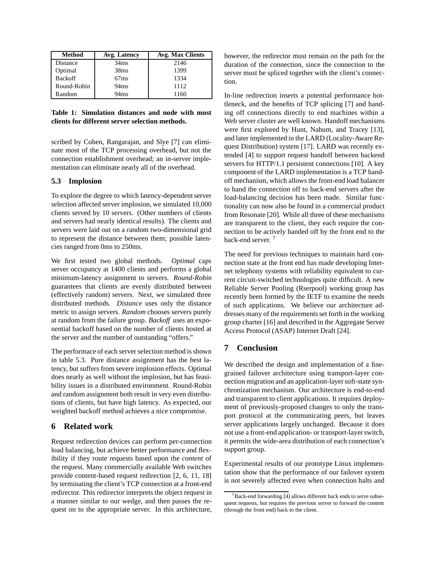| <b>Method</b>  | Avg. Latency     | <b>Avg. Max Clients</b> |
|----------------|------------------|-------------------------|
| Distance       | 34 <sub>ms</sub> | 2146                    |
| Optimal        | 38 <sub>ms</sub> | 1399                    |
| <b>Backoff</b> | 67ms             | 1334                    |
| Round-Robin    | 94ms             | 1112                    |
| Random         | 94ms             | 1160                    |

**Table 1: Simulation distances and node with most clients for different server selection methods.**

scribed by Cohen, Rangarajan, and Slye [7] can eliminate most of the TCP processing overhead, but not the connection establishment overhead; an in-server implementation can eliminate nearly all of the overhead.

## **5.3 Implosion**

To explore the degree to which latency-dependent server selection affected server implosion, we simulated 10,000 clients served by 10 servers. (Other numbers of clients and servers had nearly identical results). The clients and servers were laid out on a random two-dimensional grid to represent the distance between them; possible latencies ranged from 0ms to 250ms.

We first tested two global methods. *Optimal* caps server occupancy at 1400 clients and performs a global minimum-latency assignment to servers. *Round-Robin* guarantees that clients are evenly distributed between (effectively random) servers. Next, we simulated three distributed methods. *Distance* uses only the distance metric to assign servers. *Random* chooses servers purely at random from the failure group. *Backoff* uses an exponential backoff based on the number of clients hosted at the server and the number of outstanding "offers."

The performace of each server selection method is shown in table 5.3. Pure distance assignment has the best latency, but suffers from severe implosion effects. Optimal does nearly as well without the implosion, but has feasibility issues in a distributed environment. Round-Robin and random assignment both result in very even distributions of clients, but have high latency. As expected, our weighted backoff method achieves a nice compromise.

# **6 Related work**

Request redirection devices can perform per-connection load balancing, but achieve better performance and flexibility if they route requests based upon the *content* of the request. Many commercially available Web switches provide content-based request redirection [2, 6, 11, 18] by terminating the client's TCP connection at a front-end redirector. This redirector interprets the object request in a manner similar to our wedge, and then passes the request on to the appropriate server. In this architecture, however, the redirector must remain on the path for the duration of the connection, since the connection to the server must be spliced together with the client's connection.

In-line redirection inserts a potential performance bottleneck, and the benefits of TCP splicing [7] and handing off connections directly to end machines within a Web server cluster are well known. Handoff mechanisms were first explored by Hunt, Nahum, and Tracey [13], and later implemented in the LARD (Locality-Aware Request Distribution) system [17]. LARD was recently extended [4] to support request handoff between backend servers for HTTP/1.1 persistent connections [10]. A key component of the LARD implementation is a TCP handoff mechanism, which allows the front-end load balancer to hand the connection off to back-end servers after the load-balancing decision has been made. Similar functionality can now also be found in a commercial product from Resonate [20]. While all three of these mechanisms are transparent to the client, they each require the connection to be actively handed off by the front end to the back-end server.<sup>7</sup>

The need for previous techniques to maintain hard connection state at the front end has made developing Internet telephony systems with reliability equivalent to current circuit-switched technologies quite difficult. A new Reliable Server Pooling (Rserpool) working group has recently been formed by the IETF to examine the needs of such applications. We believe our architecture addresses many of the requirements set forth in the working group charter [16] and described in the Aggregate Server Access Protocol (ASAP) Internet Draft [24].

# **7 Conclusion**

We described the design and implementation of a finegrained failover architecture using transport-layer connection migration and an application-layer soft-state synchronization mechanism. Our architecture is end-to-end and transparent to client applications. It requires deployment of previously-proposed changes to only the transport protocol at the communicating peers, but leaves server applications largely unchanged. Because it does not use a front-end application- or transport-layer switch, it permits the wide-area distribution of each connection's support group.

Experimental results of our prototype Linux implementation show that the performance of our failover system is not severely affected even when connection halts and

 $7$ Back-end forwarding [4] allows different back ends to serve subsequent requests, but requires the previous server to forward the content (through the front end) back to the client.